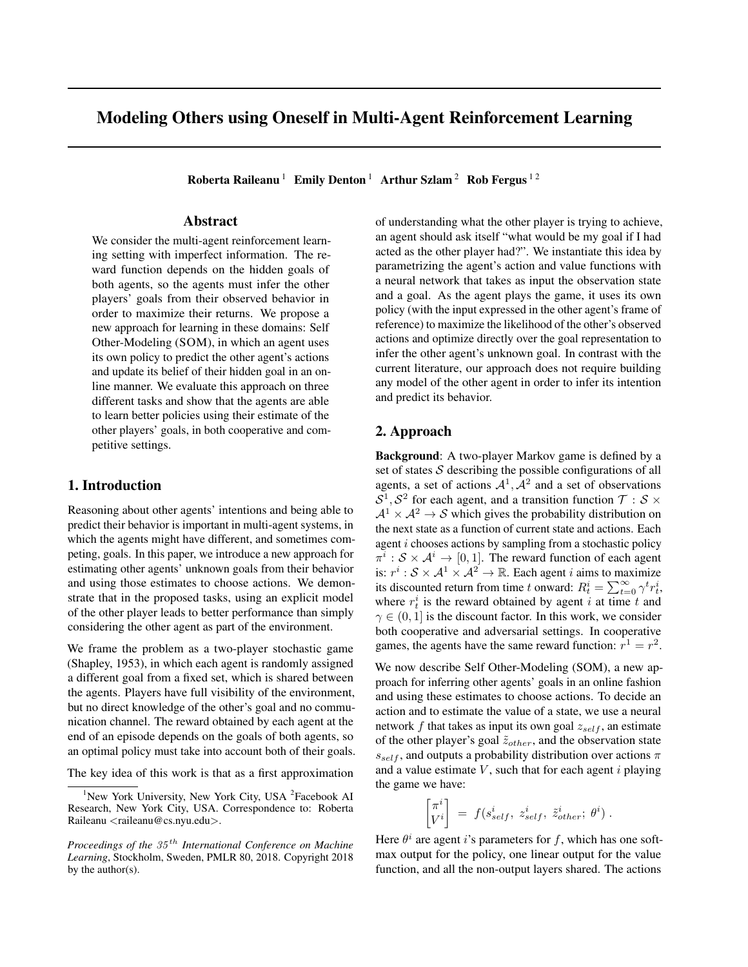# Modeling Others using Oneself in Multi-Agent Reinforcement Learning

Roberta Raileanu<sup>1</sup> Emily Denton<sup>1</sup> Arthur Szlam<sup>2</sup> Rob Fergus<sup>12</sup>

## Abstract

We consider the multi-agent reinforcement learning setting with imperfect information. The reward function depends on the hidden goals of both agents, so the agents must infer the other players' goals from their observed behavior in order to maximize their returns. We propose a new approach for learning in these domains: Self Other-Modeling (SOM), in which an agent uses its own policy to predict the other agent's actions and update its belief of their hidden goal in an online manner. We evaluate this approach on three different tasks and show that the agents are able to learn better policies using their estimate of the other players' goals, in both cooperative and competitive settings.

# 1. Introduction

Reasoning about other agents' intentions and being able to predict their behavior is important in multi-agent systems, in which the agents might have different, and sometimes competing, goals. In this paper, we introduce a new approach for estimating other agents' unknown goals from their behavior and using those estimates to choose actions. We demonstrate that in the proposed tasks, using an explicit model of the other player leads to better performance than simply considering the other agent as part of the environment.

We frame the problem as a two-player stochastic game (Shapley, 1953), in which each agent is randomly assigned a different goal from a fixed set, which is shared between the agents. Players have full visibility of the environment, but no direct knowledge of the other's goal and no communication channel. The reward obtained by each agent at the end of an episode depends on the goals of both agents, so an optimal policy must take into account both of their goals.

The key idea of this work is that as a first approximation

of understanding what the other player is trying to achieve, an agent should ask itself "what would be my goal if I had acted as the other player had?". We instantiate this idea by parametrizing the agent's action and value functions with a neural network that takes as input the observation state and a goal. As the agent plays the game, it uses its own policy (with the input expressed in the other agent's frame of reference) to maximize the likelihood of the other's observed actions and optimize directly over the goal representation to infer the other agent's unknown goal. In contrast with the current literature, our approach does not require building any model of the other agent in order to infer its intention and predict its behavior.

## 2. Approach

Background: A two-player Markov game is defined by a set of states  $S$  describing the possible configurations of all agents, a set of actions  $A^1$ ,  $A^2$  and a set of observations  $S^1, S^2$  for each agent, and a transition function  $\mathcal{T}: \mathcal{S} \times$  $A^1 \times A^2 \rightarrow S$  which gives the probability distribution on the next state as a function of current state and actions. Each agent i chooses actions by sampling from a stochastic policy  $\pi^i : \mathcal{S} \times \mathcal{A}^i \to [0, 1]$ . The reward function of each agent is:  $r^i : S \times A^1 \times A^2 \to \mathbb{R}$ . Each agent *i* aims to maximize its discounted return from time t onward:  $R_t^i = \sum_{t=0}^{\infty} \gamma^t r_t^i$ , where  $r_t^i$  is the reward obtained by agent i at time t and  $\gamma \in (0, 1]$  is the discount factor. In this work, we consider both cooperative and adversarial settings. In cooperative games, the agents have the same reward function:  $r^1 = r^2$ .

We now describe Self Other-Modeling (SOM), a new approach for inferring other agents' goals in an online fashion and using these estimates to choose actions. To decide an action and to estimate the value of a state, we use a neural network f that takes as input its own goal  $z_{self}$ , an estimate of the other player's goal  $\tilde{z}_{other}$ , and the observation state  $s_{self}$ , and outputs a probability distribution over actions  $\pi$ and a value estimate  $V$ , such that for each agent i playing the game we have:

$$
\begin{bmatrix} \pi^i \\ V^i \end{bmatrix} = f(s_{self}^i, z_{self}^i, \tilde{z}_{other}^i; \theta^i).
$$

Here  $\theta^i$  are agent i's parameters for f, which has one softmax output for the policy, one linear output for the value function, and all the non-output layers shared. The actions

<sup>&</sup>lt;sup>1</sup>New York University, New York City, USA <sup>2</sup>Facebook AI Research, New York City, USA. Correspondence to: Roberta Raileanu <raileanu@cs.nyu.edu>.

*Proceedings of the* 35 th *International Conference on Machine Learning*, Stockholm, Sweden, PMLR 80, 2018. Copyright 2018 by the author(s).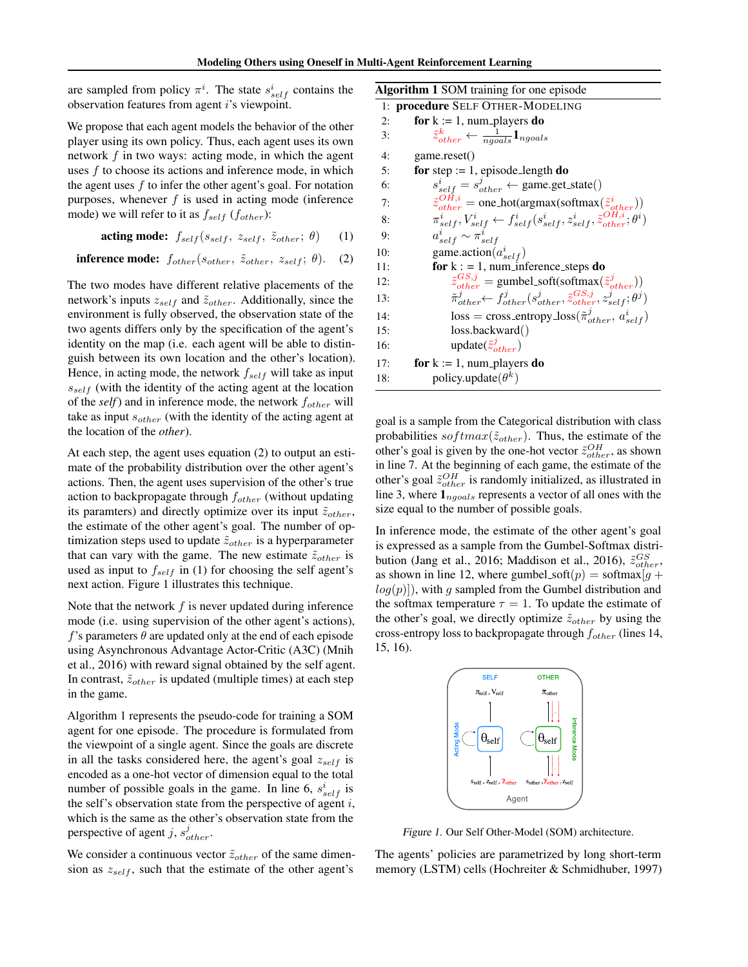are sampled from policy  $\pi^i$ . The state  $s_{self}^i$  contains the observation features from agent i's viewpoint.

We propose that each agent models the behavior of the other player using its own policy. Thus, each agent uses its own network  $f$  in two ways: acting mode, in which the agent uses f to choose its actions and inference mode, in which the agent uses  $f$  to infer the other agent's goal. For notation purposes, whenever  $f$  is used in acting mode (inference mode) we will refer to it as  $f_{self}$  ( $f_{other}$ ):

$$
\textbf{acting mode: } f_{self}(s_{self}, z_{self}, \tilde{z}_{other}; \theta) \qquad (1)
$$

**inference mode:**  $f_{other}(s_{other}, \tilde{z}_{other}, z_{self}; \theta)$ . (2)

The two modes have different relative placements of the network's inputs  $z_{self}$  and  $\tilde{z}_{other}$ . Additionally, since the environment is fully observed, the observation state of the two agents differs only by the specification of the agent's identity on the map (i.e. each agent will be able to distinguish between its own location and the other's location). Hence, in acting mode, the network  $f_{self}$  will take as input  $s_{self}$  (with the identity of the acting agent at the location of the *self*) and in inference mode, the network  $f_{other}$  will take as input  $s_{other}$  (with the identity of the acting agent at the location of the *other*).

At each step, the agent uses equation (2) to output an estimate of the probability distribution over the other agent's actions. Then, the agent uses supervision of the other's true action to backpropagate through  $f_{other}$  (without updating its paramters) and directly optimize over its input  $\tilde{z}_{other}$ , the estimate of the other agent's goal. The number of optimization steps used to update  $\tilde{z}_{other}$  is a hyperparameter that can vary with the game. The new estimate  $\tilde{z}_{other}$  is used as input to  $f_{self}$  in (1) for choosing the self agent's next action. Figure 1 illustrates this technique.

Note that the network  $f$  is never updated during inference mode (i.e. using supervision of the other agent's actions), f's parameters  $\theta$  are updated only at the end of each episode using Asynchronous Advantage Actor-Critic (A3C) (Mnih et al., 2016) with reward signal obtained by the self agent. In contrast,  $\tilde{z}_{other}$  is updated (multiple times) at each step in the game.

Algorithm 1 represents the pseudo-code for training a SOM agent for one episode. The procedure is formulated from the viewpoint of a single agent. Since the goals are discrete in all the tasks considered here, the agent's goal  $z_{self}$  is encoded as a one-hot vector of dimension equal to the total number of possible goals in the game. In line 6,  $s_{self}^i$  is the self's observation state from the perspective of agent  $i$ , which is the same as the other's observation state from the perspective of agent j,  $s_{other}^j$ .

We consider a continuous vector  $\tilde{z}_{other}$  of the same dimension as  $z_{self}$ , such that the estimate of the other agent's

Algorithm 1 SOM training for one episode 1: procedure SELF OTHER-MODELING 2: for  $k := 1$ , num players do  $3:$  $\frac{k}{other} \leftarrow \frac{1}{ngoals} \mathbf{1}_{ngoals}$ 4: game.reset() 5: for step := 1, episode\_length do  $6:$  $\sum_{self}^{i} = s_{other}^{j} \leftarrow$  game.get\_state() 7:  $\tilde{z}_{other}^{OH,i} = \text{one-hot}(\text{argmax}(\text{softmax}(\tilde{z}_{other}^i))$ 8:  $\vec{s}_{self}, \vec{V}_{self}^i \leftarrow f_{self}^i(s_{self}^i,z_{self}^i,\tilde{z}_{other}^{OH,i};\theta^i)$ 9:  $\frac{i}{self} \sim \pi_{self}^i$ 10: game.action $(a_{self}^i)$ 11: **for**  $k := 1$ , num inference steps **do**  $12:$  $\begin{array}{l} GS,j \ \hline \delta_{other} = \hbox{gumbel}.\hbox{soft}(\hbox{softmax}(\tilde{z}_{other}^j)) \ \tilde{z}_{other}^j \leftarrow f_{other}^j(s_{other}^j, \tilde{z}_{other}^{GS,j}, \tilde{z}_{other}^j; \theta^j) \end{array}$  $13:$ 14:  $\text{loss} = \text{cross\_entropy}\text{.loss}(\tilde{\pi}_{other}^j, a_{self}^i)$ 15: loss.backward() 16: update $(\tilde{z}_{other}^j)$ 17: **for**  $k := 1$ , num players **do** 18: policy.update $(\theta^k)$ 

goal is a sample from the Categorical distribution with class probabilities  $softmax(\tilde{z}_{other})$ . Thus, the estimate of the other's goal is given by the one-hot vector  $\tilde{z}_{other}^{OH}$ , as shown in line 7. At the beginning of each game, the estimate of the other's goal  $\tilde{z}_{other}^{OH}$  is randomly initialized, as illustrated in line 3, where  $\mathbf{1}_{n \text{q} o a l s}$  represents a vector of all ones with the size equal to the number of possible goals.

In inference mode, the estimate of the other agent's goal is expressed as a sample from the Gumbel-Softmax distribution (Jang et al., 2016; Maddison et al., 2016),  $\tilde{z}_{other}^{GS}$ , as shown in line 12, where gumbel soft(p) = softmax[g +  $log(p)$ ), with q sampled from the Gumbel distribution and the softmax temperature  $\tau = 1$ . To update the estimate of the other's goal, we directly optimize  $\tilde{z}_{other}$  by using the cross-entropy loss to backpropagate through  $f_{other}$  (lines 14, 15, 16).



Figure 1. Our Self Other-Model (SOM) architecture.

The agents' policies are parametrized by long short-term memory (LSTM) cells (Hochreiter & Schmidhuber, 1997)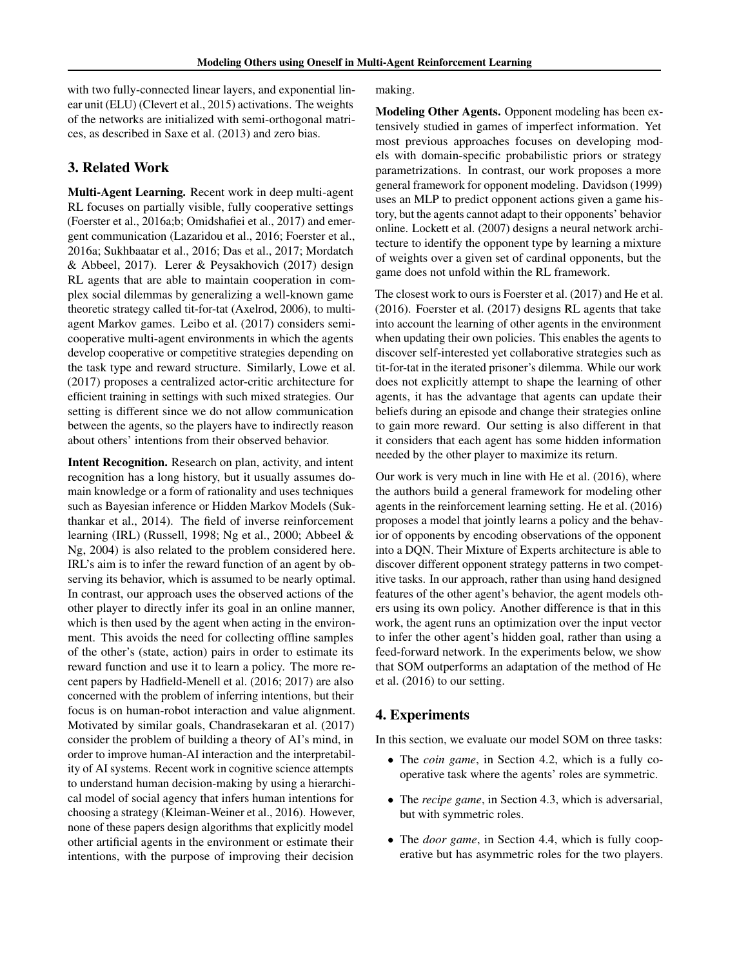with two fully-connected linear layers, and exponential linear unit (ELU) (Clevert et al., 2015) activations. The weights of the networks are initialized with semi-orthogonal matrices, as described in Saxe et al. (2013) and zero bias.

# 3. Related Work

Multi-Agent Learning. Recent work in deep multi-agent RL focuses on partially visible, fully cooperative settings (Foerster et al., 2016a;b; Omidshafiei et al., 2017) and emergent communication (Lazaridou et al., 2016; Foerster et al., 2016a; Sukhbaatar et al., 2016; Das et al., 2017; Mordatch & Abbeel, 2017). Lerer & Peysakhovich (2017) design RL agents that are able to maintain cooperation in complex social dilemmas by generalizing a well-known game theoretic strategy called tit-for-tat (Axelrod, 2006), to multiagent Markov games. Leibo et al. (2017) considers semicooperative multi-agent environments in which the agents develop cooperative or competitive strategies depending on the task type and reward structure. Similarly, Lowe et al. (2017) proposes a centralized actor-critic architecture for efficient training in settings with such mixed strategies. Our setting is different since we do not allow communication between the agents, so the players have to indirectly reason about others' intentions from their observed behavior.

Intent Recognition. Research on plan, activity, and intent recognition has a long history, but it usually assumes domain knowledge or a form of rationality and uses techniques such as Bayesian inference or Hidden Markov Models (Sukthankar et al., 2014). The field of inverse reinforcement learning (IRL) (Russell, 1998; Ng et al., 2000; Abbeel & Ng, 2004) is also related to the problem considered here. IRL's aim is to infer the reward function of an agent by observing its behavior, which is assumed to be nearly optimal. In contrast, our approach uses the observed actions of the other player to directly infer its goal in an online manner, which is then used by the agent when acting in the environment. This avoids the need for collecting offline samples of the other's (state, action) pairs in order to estimate its reward function and use it to learn a policy. The more recent papers by Hadfield-Menell et al. (2016; 2017) are also concerned with the problem of inferring intentions, but their focus is on human-robot interaction and value alignment. Motivated by similar goals, Chandrasekaran et al. (2017) consider the problem of building a theory of AI's mind, in order to improve human-AI interaction and the interpretability of AI systems. Recent work in cognitive science attempts to understand human decision-making by using a hierarchical model of social agency that infers human intentions for choosing a strategy (Kleiman-Weiner et al., 2016). However, none of these papers design algorithms that explicitly model other artificial agents in the environment or estimate their intentions, with the purpose of improving their decision

making.

Modeling Other Agents. Opponent modeling has been extensively studied in games of imperfect information. Yet most previous approaches focuses on developing models with domain-specific probabilistic priors or strategy parametrizations. In contrast, our work proposes a more general framework for opponent modeling. Davidson (1999) uses an MLP to predict opponent actions given a game history, but the agents cannot adapt to their opponents' behavior online. Lockett et al. (2007) designs a neural network architecture to identify the opponent type by learning a mixture of weights over a given set of cardinal opponents, but the game does not unfold within the RL framework.

The closest work to ours is Foerster et al. (2017) and He et al. (2016). Foerster et al. (2017) designs RL agents that take into account the learning of other agents in the environment when updating their own policies. This enables the agents to discover self-interested yet collaborative strategies such as tit-for-tat in the iterated prisoner's dilemma. While our work does not explicitly attempt to shape the learning of other agents, it has the advantage that agents can update their beliefs during an episode and change their strategies online to gain more reward. Our setting is also different in that it considers that each agent has some hidden information needed by the other player to maximize its return.

Our work is very much in line with He et al. (2016), where the authors build a general framework for modeling other agents in the reinforcement learning setting. He et al. (2016) proposes a model that jointly learns a policy and the behavior of opponents by encoding observations of the opponent into a DQN. Their Mixture of Experts architecture is able to discover different opponent strategy patterns in two competitive tasks. In our approach, rather than using hand designed features of the other agent's behavior, the agent models others using its own policy. Another difference is that in this work, the agent runs an optimization over the input vector to infer the other agent's hidden goal, rather than using a feed-forward network. In the experiments below, we show that SOM outperforms an adaptation of the method of He et al. (2016) to our setting.

### 4. Experiments

In this section, we evaluate our model SOM on three tasks:

- The *coin game*, in Section 4.2, which is a fully cooperative task where the agents' roles are symmetric.
- The *recipe game*, in Section 4.3, which is adversarial, but with symmetric roles.
- The *door game*, in Section 4.4, which is fully cooperative but has asymmetric roles for the two players.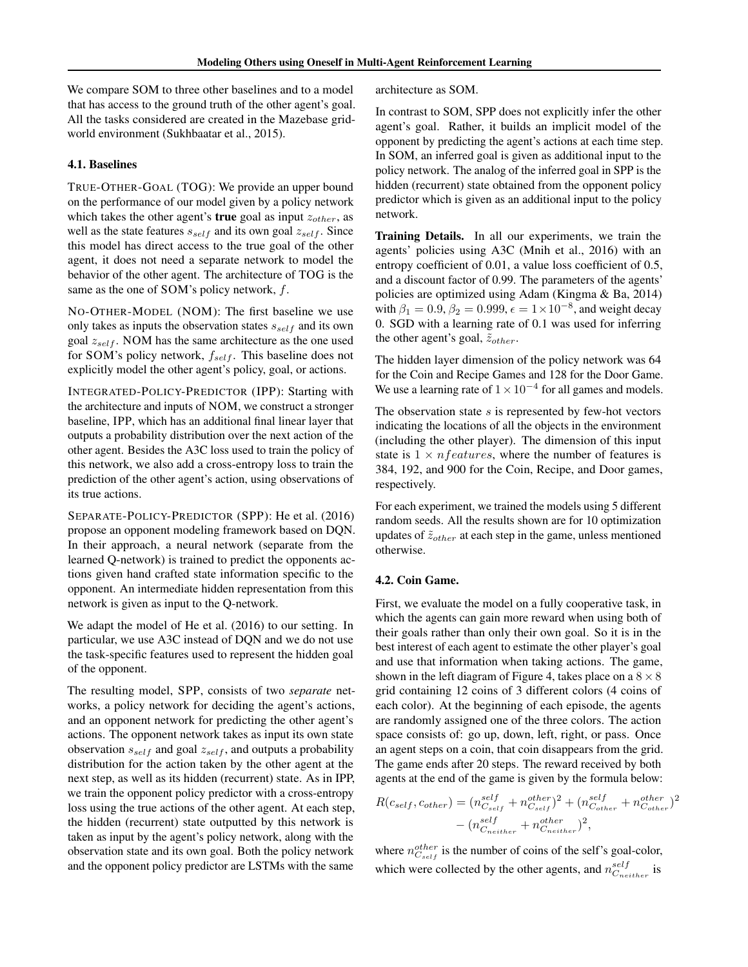We compare SOM to three other baselines and to a model that has access to the ground truth of the other agent's goal. All the tasks considered are created in the Mazebase gridworld environment (Sukhbaatar et al., 2015).

### 4.1. Baselines

TRUE-OTHER-GOAL (TOG): We provide an upper bound on the performance of our model given by a policy network which takes the other agent's **true** goal as input  $z_{other}$ , as well as the state features  $s_{self}$  and its own goal  $z_{self}$ . Since this model has direct access to the true goal of the other agent, it does not need a separate network to model the behavior of the other agent. The architecture of TOG is the same as the one of SOM's policy network, f.

NO-OTHER-MODEL (NOM): The first baseline we use only takes as inputs the observation states  $s_{self}$  and its own goal  $z_{self}$ . NOM has the same architecture as the one used for SOM's policy network,  $f_{self}$ . This baseline does not explicitly model the other agent's policy, goal, or actions.

INTEGRATED-POLICY-PREDICTOR (IPP): Starting with the architecture and inputs of NOM, we construct a stronger baseline, IPP, which has an additional final linear layer that outputs a probability distribution over the next action of the other agent. Besides the A3C loss used to train the policy of this network, we also add a cross-entropy loss to train the prediction of the other agent's action, using observations of its true actions.

SEPARATE-POLICY-PREDICTOR (SPP): He et al. (2016) propose an opponent modeling framework based on DQN. In their approach, a neural network (separate from the learned Q-network) is trained to predict the opponents actions given hand crafted state information specific to the opponent. An intermediate hidden representation from this network is given as input to the Q-network.

We adapt the model of He et al. (2016) to our setting. In particular, we use A3C instead of DQN and we do not use the task-specific features used to represent the hidden goal of the opponent.

The resulting model, SPP, consists of two *separate* networks, a policy network for deciding the agent's actions, and an opponent network for predicting the other agent's actions. The opponent network takes as input its own state observation  $s_{self}$  and goal  $z_{self}$ , and outputs a probability distribution for the action taken by the other agent at the next step, as well as its hidden (recurrent) state. As in IPP, we train the opponent policy predictor with a cross-entropy loss using the true actions of the other agent. At each step, the hidden (recurrent) state outputted by this network is taken as input by the agent's policy network, along with the observation state and its own goal. Both the policy network and the opponent policy predictor are LSTMs with the same

architecture as SOM.

In contrast to SOM, SPP does not explicitly infer the other agent's goal. Rather, it builds an implicit model of the opponent by predicting the agent's actions at each time step. In SOM, an inferred goal is given as additional input to the policy network. The analog of the inferred goal in SPP is the hidden (recurrent) state obtained from the opponent policy predictor which is given as an additional input to the policy network.

Training Details. In all our experiments, we train the agents' policies using A3C (Mnih et al., 2016) with an entropy coefficient of 0.01, a value loss coefficient of 0.5, and a discount factor of 0.99. The parameters of the agents' policies are optimized using Adam (Kingma & Ba, 2014) with  $\beta_1 = 0.9, \beta_2 = 0.999, \epsilon = 1 \times 10^{-8}$ , and weight decay 0. SGD with a learning rate of 0.1 was used for inferring the other agent's goal,  $\tilde{z}_{other}$ .

The hidden layer dimension of the policy network was 64 for the Coin and Recipe Games and 128 for the Door Game. We use a learning rate of  $1 \times 10^{-4}$  for all games and models.

The observation state  $s$  is represented by few-hot vectors indicating the locations of all the objects in the environment (including the other player). The dimension of this input state is  $1 \times nfeatures$ , where the number of features is 384, 192, and 900 for the Coin, Recipe, and Door games, respectively.

For each experiment, we trained the models using 5 different random seeds. All the results shown are for 10 optimization updates of  $\tilde{z}_{other}$  at each step in the game, unless mentioned otherwise.

#### 4.2. Coin Game.

First, we evaluate the model on a fully cooperative task, in which the agents can gain more reward when using both of their goals rather than only their own goal. So it is in the best interest of each agent to estimate the other player's goal and use that information when taking actions. The game, shown in the left diagram of Figure 4, takes place on a  $8 \times 8$ grid containing 12 coins of 3 different colors (4 coins of each color). At the beginning of each episode, the agents are randomly assigned one of the three colors. The action space consists of: go up, down, left, right, or pass. Once an agent steps on a coin, that coin disappears from the grid. The game ends after 20 steps. The reward received by both agents at the end of the game is given by the formula below:

$$
R(c_{self}, c_{other}) = (n_{C_{self}}^{self} + n_{C_{self}}^{other})^2 + (n_{C_{other}}^{self} + n_{C_{other}}^{other})^2
$$

$$
- (n_{C_{neither}}^{self} + n_{C_{neither}}^{other})^2,
$$

where  $n_{C_{self}}^{other}$  is the number of coins of the self's goal-color, which were collected by the other agents, and  $n_{C_{neither}}^{self}$  is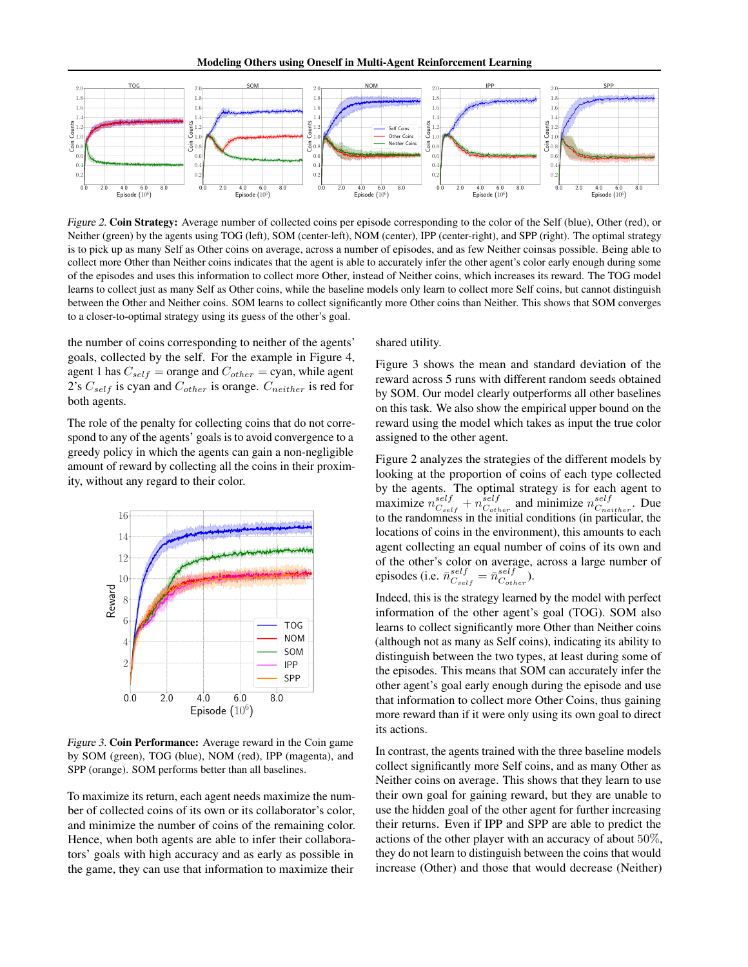

Figure 2. Coin Strategy: Average number of collected coins per episode corresponding to the color of the Self (blue), Other (red), or Neither (green) by the agents using TOG (left), SOM (center-left), NOM (center), IPP (center-right), and SPP (right). The optimal strategy is to pick up as many Self as Other coins on average, across a number of episodes, and as few Neither coinsas possible. Being able to collect more Other than Neither coins indicates that the agent is able to accurately infer the other agent's color early enough during some of the episodes and uses this information to collect more Other, instead of Neither coins, which increases its reward. The TOG model learns to collect just as many Self as Other coins, while the baseline models only learn to collect more Self coins, but cannot distinguish between the Other and Neither coins. SOM learns to collect significantly more Other coins than Neither. This shows that SOM converges to a closer-to-optimal strategy using its guess of the other's goal.

the number of coins corresponding to neither of the agents' goals, collected by the self. For the example in Figure 4, agent 1 has  $C_{self}$  = orange and  $C_{other}$  = cyan, while agent 2's  $C_{self}$  is cyan and  $C_{other}$  is orange.  $C_{neither}$  is red for both agents.

The role of the penalty for collecting coins that do not correspond to any of the agents' goals is to avoid convergence to a greedy policy in which the agents can gain a non-negligible amount of reward by collecting all the coins in their proximity, without any regard to their color.



Figure 3. Coin Performance: Average reward in the Coin game by SOM (green), TOG (blue), NOM (red), IPP (magenta), and SPP (orange). SOM performs better than all baselines.

To maximize its return, each agent needs maximize the number of collected coins of its own or its collaborator's color, and minimize the number of coins of the remaining color. Hence, when both agents are able to infer their collaborators' goals with high accuracy and as early as possible in the game, they can use that information to maximize their

shared utility.

Figure 3 shows the mean and standard deviation of the reward across 5 runs with different random seeds obtained by SOM. Our model clearly outperforms all other baselines on this task. We also show the empirical upper bound on the reward using the model which takes as input the true color assigned to the other agent.

Figure 2 analyzes the strategies of the different models by looking at the proportion of coins of each type collected by the agents. The optimal strategy is for each agent to maximize  $n_{C_{self}}^{self} + n_{C_{other}}^{self}$  and minimize  $n_{C_{neither}}^{self}$ . Due to the randomness in the initial conditions (in particular, the locations of coins in the environment), this amounts to each agent collecting an equal number of coins of its own and of the other's color on average, across a large number of episodes (i.e.  $\bar{n}_{C_{self}}^{self} = \bar{n}_{C_{other}}^{self}$ ).

Indeed, this is the strategy learned by the model with perfect information of the other agent's goal (TOG). SOM also learns to collect significantly more Other than Neither coins (although not as many as Self coins), indicating its ability to distinguish between the two types, at least during some of the episodes. This means that SOM can accurately infer the other agent's goal early enough during the episode and use that information to collect more Other Coins, thus gaining more reward than if it were only using its own goal to direct its actions.

In contrast, the agents trained with the three baseline models collect significantly more Self coins, and as many Other as Neither coins on average. This shows that they learn to use their own goal for gaining reward, but they are unable to use the hidden goal of the other agent for further increasing their returns. Even if IPP and SPP are able to predict the actions of the other player with an accuracy of about 50%, they do not learn to distinguish between the coins that would increase (Other) and those that would decrease (Neither)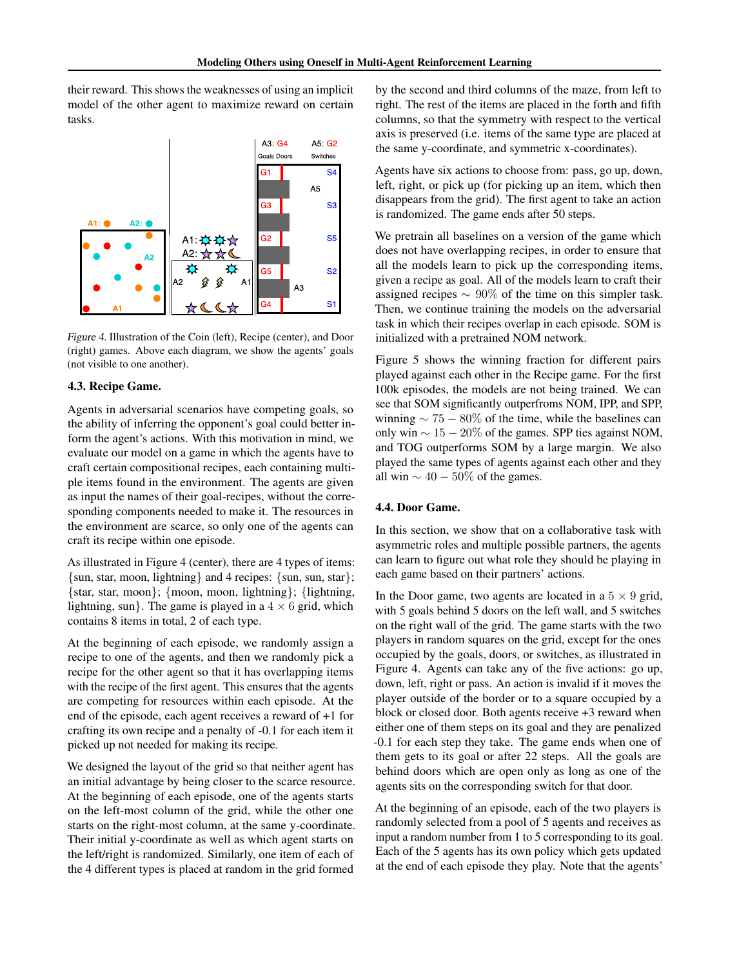their reward. This shows the weaknesses of using an implicit model of the other agent to maximize reward on certain tasks.



Figure 4. Illustration of the Coin (left), Recipe (center), and Door (right) games. Above each diagram, we show the agents' goals (not visible to one another).

### 4.3. Recipe Game.

Agents in adversarial scenarios have competing goals, so the ability of inferring the opponent's goal could better inform the agent's actions. With this motivation in mind, we evaluate our model on a game in which the agents have to craft certain compositional recipes, each containing multiple items found in the environment. The agents are given as input the names of their goal-recipes, without the corresponding components needed to make it. The resources in the environment are scarce, so only one of the agents can craft its recipe within one episode.

As illustrated in Figure 4 (center), there are 4 types of items: {sun, star, moon, lightning} and 4 recipes: {sun, sun, star}; {star, star, moon}; {moon, moon, lightning}; {lightning, lightning, sun}. The game is played in a  $4 \times 6$  grid, which contains 8 items in total, 2 of each type.

At the beginning of each episode, we randomly assign a recipe to one of the agents, and then we randomly pick a recipe for the other agent so that it has overlapping items with the recipe of the first agent. This ensures that the agents are competing for resources within each episode. At the end of the episode, each agent receives a reward of +1 for crafting its own recipe and a penalty of -0.1 for each item it picked up not needed for making its recipe.

We designed the layout of the grid so that neither agent has an initial advantage by being closer to the scarce resource. At the beginning of each episode, one of the agents starts on the left-most column of the grid, while the other one starts on the right-most column, at the same y-coordinate. Their initial y-coordinate as well as which agent starts on the left/right is randomized. Similarly, one item of each of the 4 different types is placed at random in the grid formed

by the second and third columns of the maze, from left to right. The rest of the items are placed in the forth and fifth columns, so that the symmetry with respect to the vertical axis is preserved (i.e. items of the same type are placed at the same y-coordinate, and symmetric x-coordinates).

Agents have six actions to choose from: pass, go up, down, left, right, or pick up (for picking up an item, which then disappears from the grid). The first agent to take an action is randomized. The game ends after 50 steps.

We pretrain all baselines on a version of the game which does not have overlapping recipes, in order to ensure that all the models learn to pick up the corresponding items, given a recipe as goal. All of the models learn to craft their assigned recipes  $\sim 90\%$  of the time on this simpler task. Then, we continue training the models on the adversarial task in which their recipes overlap in each episode. SOM is initialized with a pretrained NOM network.

Figure 5 shows the winning fraction for different pairs played against each other in the Recipe game. For the first 100k episodes, the models are not being trained. We can see that SOM significantly outperfroms NOM, IPP, and SPP, winning  $\sim 75 - 80\%$  of the time, while the baselines can only win  $\sim 15 - 20\%$  of the games. SPP ties against NOM, and TOG outperforms SOM by a large margin. We also played the same types of agents against each other and they all win  $\sim$  40 – 50% of the games.

#### 4.4. Door Game.

In this section, we show that on a collaborative task with asymmetric roles and multiple possible partners, the agents can learn to figure out what role they should be playing in each game based on their partners' actions.

In the Door game, two agents are located in a  $5 \times 9$  grid, with 5 goals behind 5 doors on the left wall, and 5 switches on the right wall of the grid. The game starts with the two players in random squares on the grid, except for the ones occupied by the goals, doors, or switches, as illustrated in Figure 4. Agents can take any of the five actions: go up, down, left, right or pass. An action is invalid if it moves the player outside of the border or to a square occupied by a block or closed door. Both agents receive +3 reward when either one of them steps on its goal and they are penalized -0.1 for each step they take. The game ends when one of them gets to its goal or after 22 steps. All the goals are behind doors which are open only as long as one of the agents sits on the corresponding switch for that door.

At the beginning of an episode, each of the two players is randomly selected from a pool of 5 agents and receives as input a random number from 1 to 5 corresponding to its goal. Each of the 5 agents has its own policy which gets updated at the end of each episode they play. Note that the agents'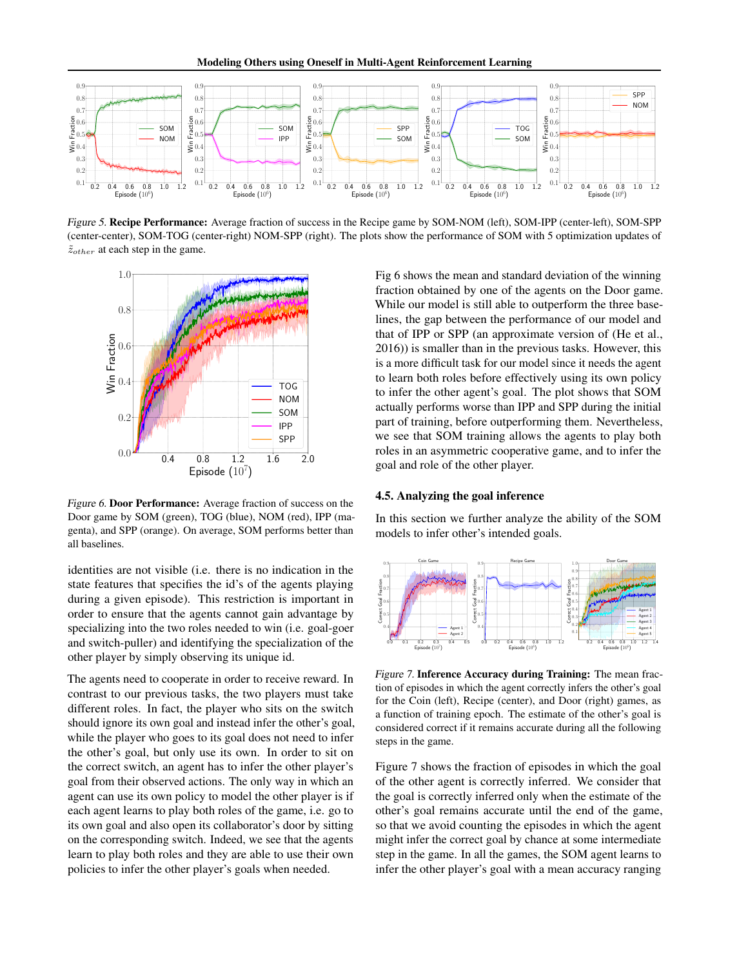

Figure 5. Recipe Performance: Average fraction of success in the Recipe game by SOM-NOM (left), SOM-IPP (center-left), SOM-SPP (center-center), SOM-TOG (center-right) NOM-SPP (right). The plots show the performance of SOM with 5 optimization updates of  $\tilde{z}_{other}$  at each step in the game.



Figure 6. Door Performance: Average fraction of success on the Door game by SOM (green), TOG (blue), NOM (red), IPP (magenta), and SPP (orange). On average, SOM performs better than all baselines.

identities are not visible (i.e. there is no indication in the state features that specifies the id's of the agents playing during a given episode). This restriction is important in order to ensure that the agents cannot gain advantage by specializing into the two roles needed to win (i.e. goal-goer and switch-puller) and identifying the specialization of the other player by simply observing its unique id.

The agents need to cooperate in order to receive reward. In contrast to our previous tasks, the two players must take different roles. In fact, the player who sits on the switch should ignore its own goal and instead infer the other's goal, while the player who goes to its goal does not need to infer the other's goal, but only use its own. In order to sit on the correct switch, an agent has to infer the other player's goal from their observed actions. The only way in which an agent can use its own policy to model the other player is if each agent learns to play both roles of the game, i.e. go to its own goal and also open its collaborator's door by sitting on the corresponding switch. Indeed, we see that the agents learn to play both roles and they are able to use their own policies to infer the other player's goals when needed.

Fig 6 shows the mean and standard deviation of the winning fraction obtained by one of the agents on the Door game. While our model is still able to outperform the three baselines, the gap between the performance of our model and that of IPP or SPP (an approximate version of (He et al., 2016)) is smaller than in the previous tasks. However, this is a more difficult task for our model since it needs the agent to learn both roles before effectively using its own policy to infer the other agent's goal. The plot shows that SOM actually performs worse than IPP and SPP during the initial part of training, before outperforming them. Nevertheless, we see that SOM training allows the agents to play both roles in an asymmetric cooperative game, and to infer the goal and role of the other player.

#### 4.5. Analyzing the goal inference

In this section we further analyze the ability of the SOM models to infer other's intended goals.



Figure 7. Inference Accuracy during Training: The mean fraction of episodes in which the agent correctly infers the other's goal for the Coin (left), Recipe (center), and Door (right) games, as a function of training epoch. The estimate of the other's goal is considered correct if it remains accurate during all the following steps in the game.

Figure 7 shows the fraction of episodes in which the goal of the other agent is correctly inferred. We consider that the goal is correctly inferred only when the estimate of the other's goal remains accurate until the end of the game, so that we avoid counting the episodes in which the agent might infer the correct goal by chance at some intermediate step in the game. In all the games, the SOM agent learns to infer the other player's goal with a mean accuracy ranging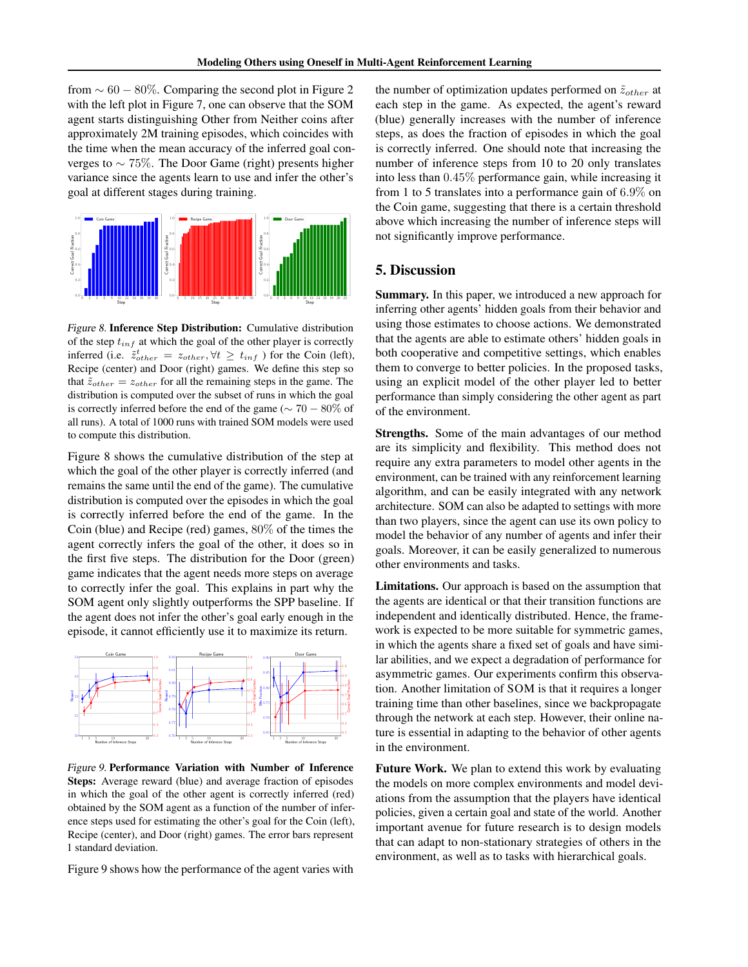from  $\sim 60 - 80\%$ . Comparing the second plot in Figure 2 with the left plot in Figure 7, one can observe that the SOM agent starts distinguishing Other from Neither coins after approximately 2M training episodes, which coincides with the time when the mean accuracy of the inferred goal converges to  $\sim$  75%. The Door Game (right) presents higher variance since the agents learn to use and infer the other's goal at different stages during training.



Figure 8. Inference Step Distribution: Cumulative distribution of the step  $t_{inf}$  at which the goal of the other player is correctly inferred (i.e.  $\tilde{z}_{other}^t = z_{other}, \forall t \geq t_{inf}$ ) for the Coin (left), Recipe (center) and Door (right) games. We define this step so that  $\tilde{z}_{other} = z_{other}$  for all the remaining steps in the game. The distribution is computed over the subset of runs in which the goal is correctly inferred before the end of the game ( $\sim 70 - 80\%$  of all runs). A total of 1000 runs with trained SOM models were used to compute this distribution.

Figure 8 shows the cumulative distribution of the step at which the goal of the other player is correctly inferred (and remains the same until the end of the game). The cumulative distribution is computed over the episodes in which the goal is correctly inferred before the end of the game. In the Coin (blue) and Recipe (red) games, 80% of the times the agent correctly infers the goal of the other, it does so in the first five steps. The distribution for the Door (green) game indicates that the agent needs more steps on average to correctly infer the goal. This explains in part why the SOM agent only slightly outperforms the SPP baseline. If the agent does not infer the other's goal early enough in the episode, it cannot efficiently use it to maximize its return.



Figure 9. Performance Variation with Number of Inference Steps: Average reward (blue) and average fraction of episodes in which the goal of the other agent is correctly inferred (red) obtained by the SOM agent as a function of the number of inference steps used for estimating the other's goal for the Coin (left), Recipe (center), and Door (right) games. The error bars represent 1 standard deviation.

Figure 9 shows how the performance of the agent varies with

the number of optimization updates performed on  $\tilde{z}_{other}$  at each step in the game. As expected, the agent's reward (blue) generally increases with the number of inference steps, as does the fraction of episodes in which the goal is correctly inferred. One should note that increasing the number of inference steps from 10 to 20 only translates into less than 0.45% performance gain, while increasing it from 1 to 5 translates into a performance gain of 6.9% on the Coin game, suggesting that there is a certain threshold above which increasing the number of inference steps will not significantly improve performance.

# 5. Discussion

Summary. In this paper, we introduced a new approach for inferring other agents' hidden goals from their behavior and using those estimates to choose actions. We demonstrated that the agents are able to estimate others' hidden goals in both cooperative and competitive settings, which enables them to converge to better policies. In the proposed tasks, using an explicit model of the other player led to better performance than simply considering the other agent as part of the environment.

Strengths. Some of the main advantages of our method are its simplicity and flexibility. This method does not require any extra parameters to model other agents in the environment, can be trained with any reinforcement learning algorithm, and can be easily integrated with any network architecture. SOM can also be adapted to settings with more than two players, since the agent can use its own policy to model the behavior of any number of agents and infer their goals. Moreover, it can be easily generalized to numerous other environments and tasks.

Limitations. Our approach is based on the assumption that the agents are identical or that their transition functions are independent and identically distributed. Hence, the framework is expected to be more suitable for symmetric games, in which the agents share a fixed set of goals and have similar abilities, and we expect a degradation of performance for asymmetric games. Our experiments confirm this observation. Another limitation of SOM is that it requires a longer training time than other baselines, since we backpropagate through the network at each step. However, their online nature is essential in adapting to the behavior of other agents in the environment.

Future Work. We plan to extend this work by evaluating the models on more complex environments and model deviations from the assumption that the players have identical policies, given a certain goal and state of the world. Another important avenue for future research is to design models that can adapt to non-stationary strategies of others in the environment, as well as to tasks with hierarchical goals.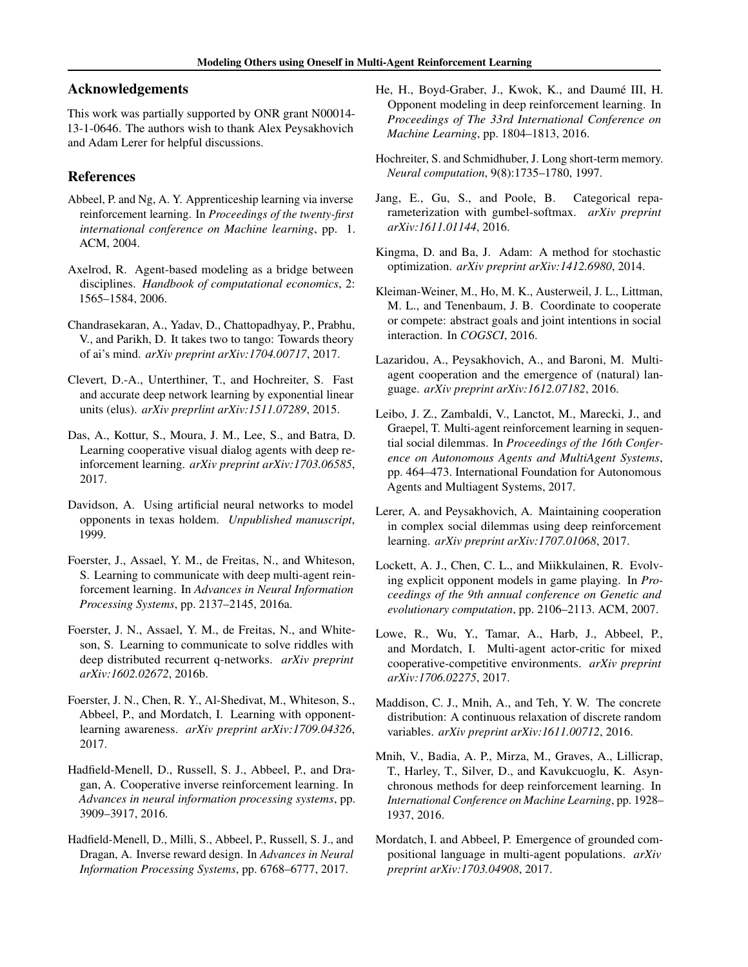# Acknowledgements

This work was partially supported by ONR grant N00014- 13-1-0646. The authors wish to thank Alex Peysakhovich and Adam Lerer for helpful discussions.

# References

- Abbeel, P. and Ng, A. Y. Apprenticeship learning via inverse reinforcement learning. In *Proceedings of the twenty-first international conference on Machine learning*, pp. 1. ACM, 2004.
- Axelrod, R. Agent-based modeling as a bridge between disciplines. *Handbook of computational economics*, 2: 1565–1584, 2006.
- Chandrasekaran, A., Yadav, D., Chattopadhyay, P., Prabhu, V., and Parikh, D. It takes two to tango: Towards theory of ai's mind. *arXiv preprint arXiv:1704.00717*, 2017.
- Clevert, D.-A., Unterthiner, T., and Hochreiter, S. Fast and accurate deep network learning by exponential linear units (elus). *arXiv preprlint arXiv:1511.07289*, 2015.
- Das, A., Kottur, S., Moura, J. M., Lee, S., and Batra, D. Learning cooperative visual dialog agents with deep reinforcement learning. *arXiv preprint arXiv:1703.06585*, 2017.
- Davidson, A. Using artificial neural networks to model opponents in texas holdem. *Unpublished manuscript*, 1999.
- Foerster, J., Assael, Y. M., de Freitas, N., and Whiteson, S. Learning to communicate with deep multi-agent reinforcement learning. In *Advances in Neural Information Processing Systems*, pp. 2137–2145, 2016a.
- Foerster, J. N., Assael, Y. M., de Freitas, N., and Whiteson, S. Learning to communicate to solve riddles with deep distributed recurrent q-networks. *arXiv preprint arXiv:1602.02672*, 2016b.
- Foerster, J. N., Chen, R. Y., Al-Shedivat, M., Whiteson, S., Abbeel, P., and Mordatch, I. Learning with opponentlearning awareness. *arXiv preprint arXiv:1709.04326*, 2017.
- Hadfield-Menell, D., Russell, S. J., Abbeel, P., and Dragan, A. Cooperative inverse reinforcement learning. In *Advances in neural information processing systems*, pp. 3909–3917, 2016.
- Hadfield-Menell, D., Milli, S., Abbeel, P., Russell, S. J., and Dragan, A. Inverse reward design. In *Advances in Neural Information Processing Systems*, pp. 6768–6777, 2017.
- He, H., Boyd-Graber, J., Kwok, K., and Daumé III, H. Opponent modeling in deep reinforcement learning. In *Proceedings of The 33rd International Conference on Machine Learning*, pp. 1804–1813, 2016.
- Hochreiter, S. and Schmidhuber, J. Long short-term memory. *Neural computation*, 9(8):1735–1780, 1997.
- Jang, E., Gu, S., and Poole, B. Categorical reparameterization with gumbel-softmax. *arXiv preprint arXiv:1611.01144*, 2016.
- Kingma, D. and Ba, J. Adam: A method for stochastic optimization. *arXiv preprint arXiv:1412.6980*, 2014.
- Kleiman-Weiner, M., Ho, M. K., Austerweil, J. L., Littman, M. L., and Tenenbaum, J. B. Coordinate to cooperate or compete: abstract goals and joint intentions in social interaction. In *COGSCI*, 2016.
- Lazaridou, A., Peysakhovich, A., and Baroni, M. Multiagent cooperation and the emergence of (natural) language. *arXiv preprint arXiv:1612.07182*, 2016.
- Leibo, J. Z., Zambaldi, V., Lanctot, M., Marecki, J., and Graepel, T. Multi-agent reinforcement learning in sequential social dilemmas. In *Proceedings of the 16th Conference on Autonomous Agents and MultiAgent Systems*, pp. 464–473. International Foundation for Autonomous Agents and Multiagent Systems, 2017.
- Lerer, A. and Peysakhovich, A. Maintaining cooperation in complex social dilemmas using deep reinforcement learning. *arXiv preprint arXiv:1707.01068*, 2017.
- Lockett, A. J., Chen, C. L., and Miikkulainen, R. Evolving explicit opponent models in game playing. In *Proceedings of the 9th annual conference on Genetic and evolutionary computation*, pp. 2106–2113. ACM, 2007.
- Lowe, R., Wu, Y., Tamar, A., Harb, J., Abbeel, P., and Mordatch, I. Multi-agent actor-critic for mixed cooperative-competitive environments. *arXiv preprint arXiv:1706.02275*, 2017.
- Maddison, C. J., Mnih, A., and Teh, Y. W. The concrete distribution: A continuous relaxation of discrete random variables. *arXiv preprint arXiv:1611.00712*, 2016.
- Mnih, V., Badia, A. P., Mirza, M., Graves, A., Lillicrap, T., Harley, T., Silver, D., and Kavukcuoglu, K. Asynchronous methods for deep reinforcement learning. In *International Conference on Machine Learning*, pp. 1928– 1937, 2016.
- Mordatch, I. and Abbeel, P. Emergence of grounded compositional language in multi-agent populations. *arXiv preprint arXiv:1703.04908*, 2017.